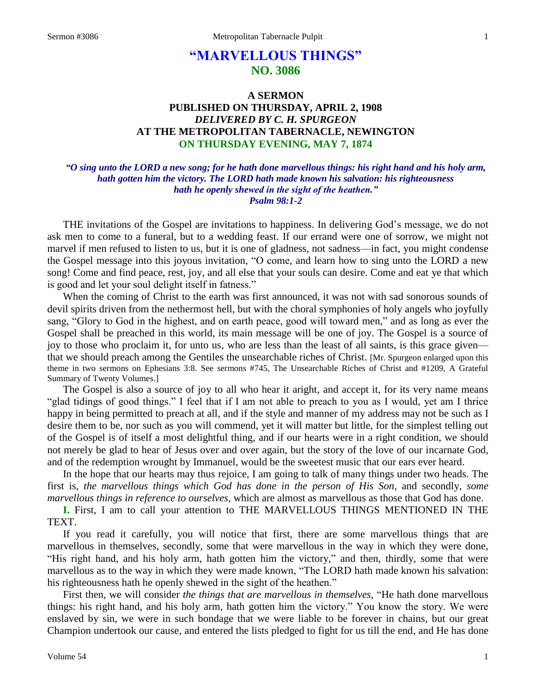# **"MARVELLOUS THINGS" NO. 3086**

## **A SERMON PUBLISHED ON THURSDAY, APRIL 2, 1908** *DELIVERED BY C. H. SPURGEON* **AT THE METROPOLITAN TABERNACLE, NEWINGTON ON THURSDAY EVENING, MAY 7, 1874**

## *"O sing unto the LORD a new song; for he hath done marvellous things: his right hand and his holy arm, hath gotten him the victory. The LORD hath made known his salvation: his righteousness hath he openly shewed in the sight of the heathen." Psalm 98:1-2*

THE invitations of the Gospel are invitations to happiness. In delivering God's message, we do not ask men to come to a funeral, but to a wedding feast. If our errand were one of sorrow, we might not marvel if men refused to listen to us, but it is one of gladness, not sadness—in fact, you might condense the Gospel message into this joyous invitation, "O come, and learn how to sing unto the LORD a new song! Come and find peace, rest, joy, and all else that your souls can desire. Come and eat ye that which is good and let your soul delight itself in fatness."

When the coming of Christ to the earth was first announced, it was not with sad sonorous sounds of devil spirits driven from the nethermost hell, but with the choral symphonies of holy angels who joyfully sang, "Glory to God in the highest, and on earth peace, good will toward men," and as long as ever the Gospel shall be preached in this world, its main message will be one of joy. The Gospel is a source of joy to those who proclaim it, for unto us, who are less than the least of all saints, is this grace given that we should preach among the Gentiles the unsearchable riches of Christ. [Mr. Spurgeon enlarged upon this theme in two sermons on Ephesians 3:8. See sermons #745, The Unsearchable Riches of Christ and #1209, A Grateful Summary of Twenty Volumes.]

The Gospel is also a source of joy to all who hear it aright, and accept it, for its very name means "glad tidings of good things." I feel that if I am not able to preach to you as I would, yet am I thrice happy in being permitted to preach at all, and if the style and manner of my address may not be such as I desire them to be, nor such as you will commend, yet it will matter but little, for the simplest telling out of the Gospel is of itself a most delightful thing, and if our hearts were in a right condition, we should not merely be glad to hear of Jesus over and over again, but the story of the love of our incarnate God, and of the redemption wrought by Immanuel, would be the sweetest music that our ears ever heard.

In the hope that our hearts may thus rejoice, I am going to talk of many things under two heads. The first is, *the marvellous things which God has done in the person of His Son,* and secondly, *some marvellous things in reference to ourselves,* which are almost as marvellous as those that God has done.

**I.** First, I am to call your attention to THE MARVELLOUS THINGS MENTIONED IN THE TEXT.

If you read it carefully, you will notice that first, there are some marvellous things that are marvellous in themselves, secondly, some that were marvellous in the way in which they were done, "His right hand, and his holy arm, hath gotten him the victory," and then, thirdly, some that were marvellous as to the way in which they were made known, "The LORD hath made known his salvation: his righteousness hath he openly shewed in the sight of the heathen."

First then, we will consider *the things that are marvellous in themselves,* "He hath done marvellous things: his right hand, and his holy arm, hath gotten him the victory." You know the story. We were enslaved by sin, we were in such bondage that we were liable to be forever in chains, but our great Champion undertook our cause, and entered the lists pledged to fight for us till the end, and He has done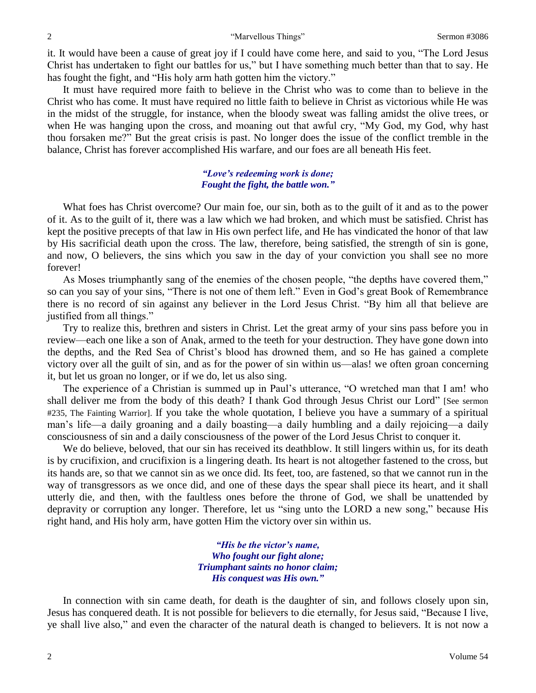it. It would have been a cause of great joy if I could have come here, and said to you, "The Lord Jesus Christ has undertaken to fight our battles for us," but I have something much better than that to say. He has fought the fight, and "His holy arm hath gotten him the victory."

It must have required more faith to believe in the Christ who was to come than to believe in the Christ who has come. It must have required no little faith to believe in Christ as victorious while He was in the midst of the struggle, for instance, when the bloody sweat was falling amidst the olive trees, or when He was hanging upon the cross, and moaning out that awful cry, "My God, my God, why hast thou forsaken me?" But the great crisis is past. No longer does the issue of the conflict tremble in the balance, Christ has forever accomplished His warfare, and our foes are all beneath His feet.

### *"Love's redeeming work is done; Fought the fight, the battle won."*

What foes has Christ overcome? Our main foe, our sin, both as to the guilt of it and as to the power of it. As to the guilt of it, there was a law which we had broken, and which must be satisfied. Christ has kept the positive precepts of that law in His own perfect life, and He has vindicated the honor of that law by His sacrificial death upon the cross. The law, therefore, being satisfied, the strength of sin is gone, and now, O believers, the sins which you saw in the day of your conviction you shall see no more forever!

As Moses triumphantly sang of the enemies of the chosen people, "the depths have covered them," so can you say of your sins, "There is not one of them left." Even in God's great Book of Remembrance there is no record of sin against any believer in the Lord Jesus Christ. "By him all that believe are justified from all things."

Try to realize this, brethren and sisters in Christ. Let the great army of your sins pass before you in review—each one like a son of Anak, armed to the teeth for your destruction. They have gone down into the depths, and the Red Sea of Christ's blood has drowned them, and so He has gained a complete victory over all the guilt of sin, and as for the power of sin within us—alas! we often groan concerning it, but let us groan no longer, or if we do, let us also sing.

The experience of a Christian is summed up in Paul's utterance, "O wretched man that I am! who shall deliver me from the body of this death? I thank God through Jesus Christ our Lord" [See sermon #235, The Fainting Warrior]. If you take the whole quotation, I believe you have a summary of a spiritual man's life—a daily groaning and a daily boasting—a daily humbling and a daily rejoicing—a daily consciousness of sin and a daily consciousness of the power of the Lord Jesus Christ to conquer it.

We do believe, beloved, that our sin has received its deathblow. It still lingers within us, for its death is by crucifixion, and crucifixion is a lingering death. Its heart is not altogether fastened to the cross, but its hands are, so that we cannot sin as we once did. Its feet, too, are fastened, so that we cannot run in the way of transgressors as we once did, and one of these days the spear shall piece its heart, and it shall utterly die, and then, with the faultless ones before the throne of God, we shall be unattended by depravity or corruption any longer. Therefore, let us "sing unto the LORD a new song," because His right hand, and His holy arm, have gotten Him the victory over sin within us.

> *"His be the victor's name, Who fought our fight alone; Triumphant saints no honor claim; His conquest was His own."*

In connection with sin came death, for death is the daughter of sin, and follows closely upon sin, Jesus has conquered death. It is not possible for believers to die eternally, for Jesus said, "Because I live, ye shall live also," and even the character of the natural death is changed to believers. It is not now a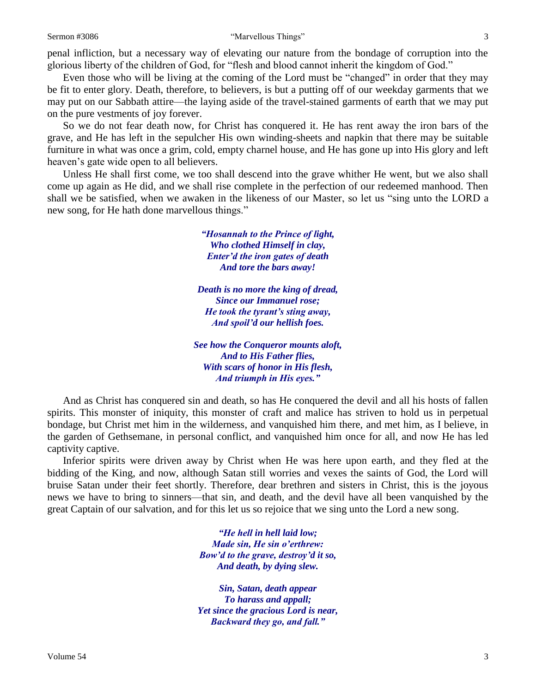penal infliction, but a necessary way of elevating our nature from the bondage of corruption into the glorious liberty of the children of God, for "flesh and blood cannot inherit the kingdom of God."

Even those who will be living at the coming of the Lord must be "changed" in order that they may be fit to enter glory. Death, therefore, to believers, is but a putting off of our weekday garments that we may put on our Sabbath attire—the laying aside of the travel-stained garments of earth that we may put on the pure vestments of joy forever.

So we do not fear death now, for Christ has conquered it. He has rent away the iron bars of the grave, and He has left in the sepulcher His own winding-sheets and napkin that there may be suitable furniture in what was once a grim, cold, empty charnel house, and He has gone up into His glory and left heaven's gate wide open to all believers.

Unless He shall first come, we too shall descend into the grave whither He went, but we also shall come up again as He did, and we shall rise complete in the perfection of our redeemed manhood. Then shall we be satisfied, when we awaken in the likeness of our Master, so let us "sing unto the LORD a new song, for He hath done marvellous things."

> *"Hosannah to the Prince of light, Who clothed Himself in clay, Enter'd the iron gates of death And tore the bars away!*

*Death is no more the king of dread, Since our Immanuel rose; He took the tyrant's sting away, And spoil'd our hellish foes.*

*See how the Conqueror mounts aloft, And to His Father flies, With scars of honor in His flesh, And triumph in His eyes."*

And as Christ has conquered sin and death, so has He conquered the devil and all his hosts of fallen spirits. This monster of iniquity, this monster of craft and malice has striven to hold us in perpetual bondage, but Christ met him in the wilderness, and vanquished him there, and met him, as I believe, in the garden of Gethsemane, in personal conflict, and vanquished him once for all, and now He has led captivity captive.

Inferior spirits were driven away by Christ when He was here upon earth, and they fled at the bidding of the King, and now, although Satan still worries and vexes the saints of God, the Lord will bruise Satan under their feet shortly. Therefore, dear brethren and sisters in Christ, this is the joyous news we have to bring to sinners—that sin, and death, and the devil have all been vanquished by the great Captain of our salvation, and for this let us so rejoice that we sing unto the Lord a new song.

> *"He hell in hell laid low; Made sin, He sin o'erthrew: Bow'd to the grave, destroy'd it so, And death, by dying slew.*

*Sin, Satan, death appear To harass and appall; Yet since the gracious Lord is near, Backward they go, and fall."*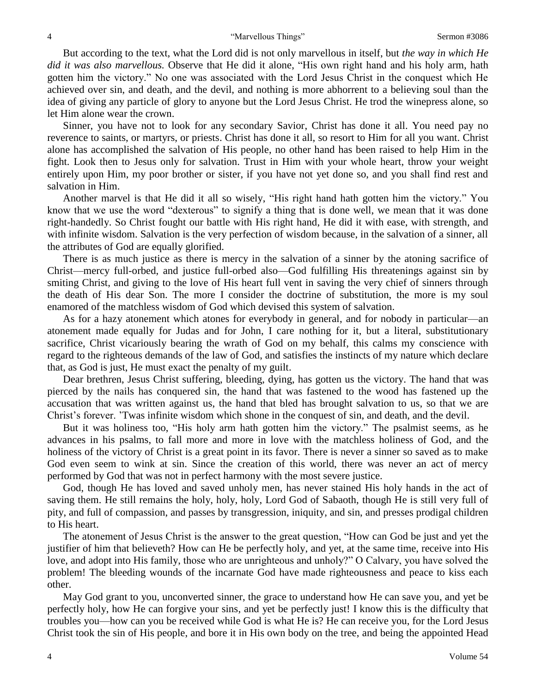But according to the text, what the Lord did is not only marvellous in itself, but *the way in which He did it was also marvellous.* Observe that He did it alone, "His own right hand and his holy arm, hath gotten him the victory." No one was associated with the Lord Jesus Christ in the conquest which He achieved over sin, and death, and the devil, and nothing is more abhorrent to a believing soul than the idea of giving any particle of glory to anyone but the Lord Jesus Christ. He trod the winepress alone, so let Him alone wear the crown.

Sinner, you have not to look for any secondary Savior, Christ has done it all. You need pay no reverence to saints, or martyrs, or priests. Christ has done it all, so resort to Him for all you want. Christ alone has accomplished the salvation of His people, no other hand has been raised to help Him in the fight. Look then to Jesus only for salvation. Trust in Him with your whole heart, throw your weight entirely upon Him, my poor brother or sister, if you have not yet done so, and you shall find rest and salvation in Him.

Another marvel is that He did it all so wisely, "His right hand hath gotten him the victory." You know that we use the word "dexterous" to signify a thing that is done well, we mean that it was done right-handedly. So Christ fought our battle with His right hand, He did it with ease, with strength, and with infinite wisdom. Salvation is the very perfection of wisdom because, in the salvation of a sinner, all the attributes of God are equally glorified.

There is as much justice as there is mercy in the salvation of a sinner by the atoning sacrifice of Christ—mercy full-orbed, and justice full-orbed also—God fulfilling His threatenings against sin by smiting Christ, and giving to the love of His heart full vent in saving the very chief of sinners through the death of His dear Son. The more I consider the doctrine of substitution, the more is my soul enamored of the matchless wisdom of God which devised this system of salvation.

As for a hazy atonement which atones for everybody in general, and for nobody in particular—an atonement made equally for Judas and for John, I care nothing for it, but a literal, substitutionary sacrifice, Christ vicariously bearing the wrath of God on my behalf, this calms my conscience with regard to the righteous demands of the law of God, and satisfies the instincts of my nature which declare that, as God is just, He must exact the penalty of my guilt.

Dear brethren, Jesus Christ suffering, bleeding, dying, has gotten us the victory. The hand that was pierced by the nails has conquered sin, the hand that was fastened to the wood has fastened up the accusation that was written against us, the hand that bled has brought salvation to us, so that we are Christ's forever. 'Twas infinite wisdom which shone in the conquest of sin, and death, and the devil.

But it was holiness too, "His holy arm hath gotten him the victory." The psalmist seems, as he advances in his psalms, to fall more and more in love with the matchless holiness of God, and the holiness of the victory of Christ is a great point in its favor. There is never a sinner so saved as to make God even seem to wink at sin. Since the creation of this world, there was never an act of mercy performed by God that was not in perfect harmony with the most severe justice.

God, though He has loved and saved unholy men, has never stained His holy hands in the act of saving them. He still remains the holy, holy, holy, Lord God of Sabaoth, though He is still very full of pity, and full of compassion, and passes by transgression, iniquity, and sin, and presses prodigal children to His heart.

The atonement of Jesus Christ is the answer to the great question, "How can God be just and yet the justifier of him that believeth? How can He be perfectly holy, and yet, at the same time, receive into His love, and adopt into His family, those who are unrighteous and unholy?" O Calvary, you have solved the problem! The bleeding wounds of the incarnate God have made righteousness and peace to kiss each other.

May God grant to you, unconverted sinner, the grace to understand how He can save you, and yet be perfectly holy, how He can forgive your sins, and yet be perfectly just! I know this is the difficulty that troubles you—how can you be received while God is what He is? He can receive you, for the Lord Jesus Christ took the sin of His people, and bore it in His own body on the tree, and being the appointed Head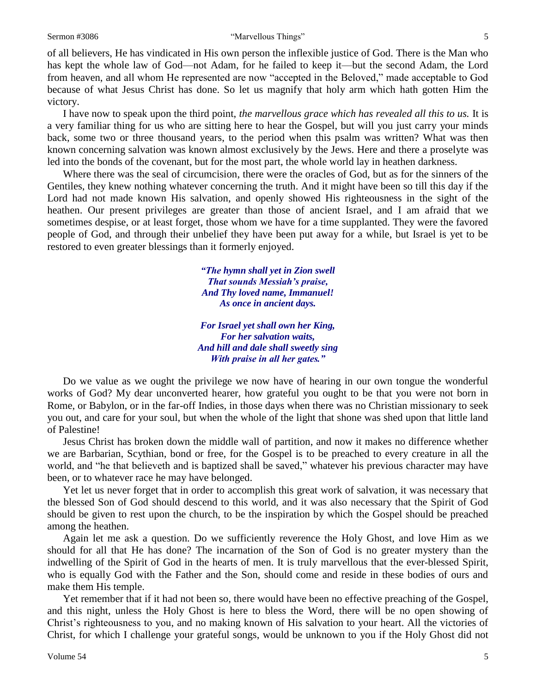#### Sermon #3086 **Sermon #3086** <sup>"</sup>Marvellous Things" 5

of all believers, He has vindicated in His own person the inflexible justice of God. There is the Man who has kept the whole law of God—not Adam, for he failed to keep it—but the second Adam, the Lord from heaven, and all whom He represented are now "accepted in the Beloved," made acceptable to God because of what Jesus Christ has done. So let us magnify that holy arm which hath gotten Him the victory.

I have now to speak upon the third point, *the marvellous grace which has revealed all this to us.* It is a very familiar thing for us who are sitting here to hear the Gospel, but will you just carry your minds back, some two or three thousand years, to the period when this psalm was written? What was then known concerning salvation was known almost exclusively by the Jews. Here and there a proselyte was led into the bonds of the covenant, but for the most part, the whole world lay in heathen darkness.

Where there was the seal of circumcision, there were the oracles of God, but as for the sinners of the Gentiles, they knew nothing whatever concerning the truth. And it might have been so till this day if the Lord had not made known His salvation, and openly showed His righteousness in the sight of the heathen. Our present privileges are greater than those of ancient Israel, and I am afraid that we sometimes despise, or at least forget, those whom we have for a time supplanted. They were the favored people of God, and through their unbelief they have been put away for a while, but Israel is yet to be restored to even greater blessings than it formerly enjoyed.

> *"The hymn shall yet in Zion swell That sounds Messiah's praise, And Thy loved name, Immanuel! As once in ancient days.*

*For Israel yet shall own her King, For her salvation waits, And hill and dale shall sweetly sing With praise in all her gates."*

Do we value as we ought the privilege we now have of hearing in our own tongue the wonderful works of God? My dear unconverted hearer, how grateful you ought to be that you were not born in Rome, or Babylon, or in the far-off Indies, in those days when there was no Christian missionary to seek you out, and care for your soul, but when the whole of the light that shone was shed upon that little land of Palestine!

Jesus Christ has broken down the middle wall of partition, and now it makes no difference whether we are Barbarian, Scythian, bond or free, for the Gospel is to be preached to every creature in all the world, and "he that believeth and is baptized shall be saved," whatever his previous character may have been, or to whatever race he may have belonged.

Yet let us never forget that in order to accomplish this great work of salvation, it was necessary that the blessed Son of God should descend to this world, and it was also necessary that the Spirit of God should be given to rest upon the church, to be the inspiration by which the Gospel should be preached among the heathen.

Again let me ask a question. Do we sufficiently reverence the Holy Ghost, and love Him as we should for all that He has done? The incarnation of the Son of God is no greater mystery than the indwelling of the Spirit of God in the hearts of men. It is truly marvellous that the ever-blessed Spirit, who is equally God with the Father and the Son, should come and reside in these bodies of ours and make them His temple.

Yet remember that if it had not been so, there would have been no effective preaching of the Gospel, and this night, unless the Holy Ghost is here to bless the Word, there will be no open showing of Christ's righteousness to you, and no making known of His salvation to your heart. All the victories of Christ, for which I challenge your grateful songs, would be unknown to you if the Holy Ghost did not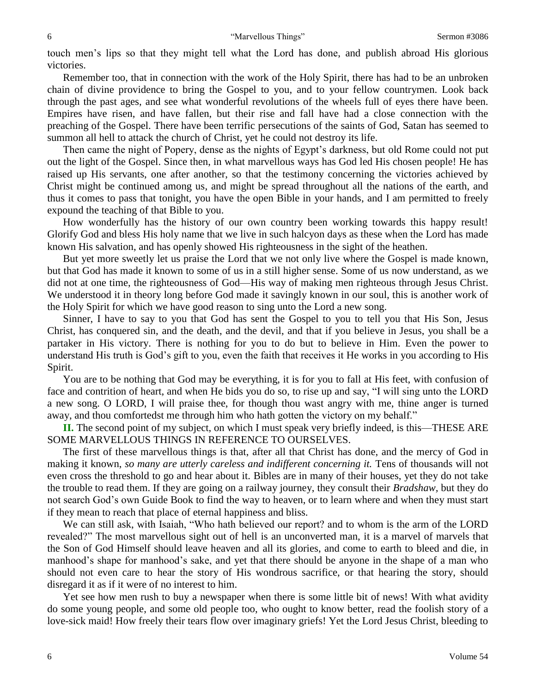touch men's lips so that they might tell what the Lord has done, and publish abroad His glorious victories.

Remember too, that in connection with the work of the Holy Spirit, there has had to be an unbroken chain of divine providence to bring the Gospel to you, and to your fellow countrymen. Look back through the past ages, and see what wonderful revolutions of the wheels full of eyes there have been. Empires have risen, and have fallen, but their rise and fall have had a close connection with the preaching of the Gospel. There have been terrific persecutions of the saints of God, Satan has seemed to summon all hell to attack the church of Christ, yet he could not destroy its life.

Then came the night of Popery, dense as the nights of Egypt's darkness, but old Rome could not put out the light of the Gospel. Since then, in what marvellous ways has God led His chosen people! He has raised up His servants, one after another, so that the testimony concerning the victories achieved by Christ might be continued among us, and might be spread throughout all the nations of the earth, and thus it comes to pass that tonight, you have the open Bible in your hands, and I am permitted to freely expound the teaching of that Bible to you.

How wonderfully has the history of our own country been working towards this happy result! Glorify God and bless His holy name that we live in such halcyon days as these when the Lord has made known His salvation, and has openly showed His righteousness in the sight of the heathen.

But yet more sweetly let us praise the Lord that we not only live where the Gospel is made known, but that God has made it known to some of us in a still higher sense. Some of us now understand, as we did not at one time, the righteousness of God—His way of making men righteous through Jesus Christ. We understood it in theory long before God made it savingly known in our soul, this is another work of the Holy Spirit for which we have good reason to sing unto the Lord a new song.

Sinner, I have to say to you that God has sent the Gospel to you to tell you that His Son, Jesus Christ, has conquered sin, and the death, and the devil, and that if you believe in Jesus, you shall be a partaker in His victory. There is nothing for you to do but to believe in Him. Even the power to understand His truth is God's gift to you, even the faith that receives it He works in you according to His Spirit.

You are to be nothing that God may be everything, it is for you to fall at His feet, with confusion of face and contrition of heart, and when He bids you do so, to rise up and say, "I will sing unto the LORD a new song. O LORD, I will praise thee, for though thou wast angry with me, thine anger is turned away, and thou comfortedst me through him who hath gotten the victory on my behalf."

**II.** The second point of my subject, on which I must speak very briefly indeed, is this—THESE ARE SOME MARVELLOUS THINGS IN REFERENCE TO OURSELVES.

The first of these marvellous things is that, after all that Christ has done, and the mercy of God in making it known, *so many are utterly careless and indifferent concerning it*. Tens of thousands will not even cross the threshold to go and hear about it. Bibles are in many of their houses, yet they do not take the trouble to read them. If they are going on a railway journey, they consult their *Bradshaw,* but they do not search God's own Guide Book to find the way to heaven, or to learn where and when they must start if they mean to reach that place of eternal happiness and bliss.

We can still ask, with Isaiah, "Who hath believed our report? and to whom is the arm of the LORD revealed?" The most marvellous sight out of hell is an unconverted man, it is a marvel of marvels that the Son of God Himself should leave heaven and all its glories, and come to earth to bleed and die, in manhood's shape for manhood's sake, and yet that there should be anyone in the shape of a man who should not even care to hear the story of His wondrous sacrifice, or that hearing the story, should disregard it as if it were of no interest to him.

Yet see how men rush to buy a newspaper when there is some little bit of news! With what avidity do some young people, and some old people too, who ought to know better, read the foolish story of a love-sick maid! How freely their tears flow over imaginary griefs! Yet the Lord Jesus Christ, bleeding to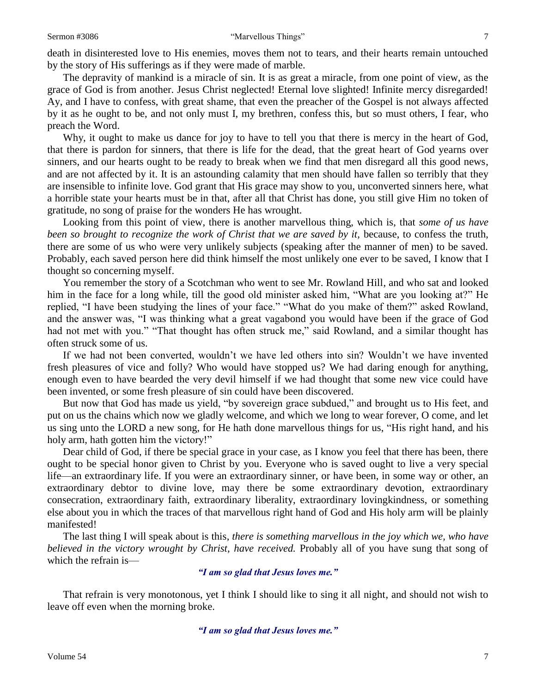death in disinterested love to His enemies, moves them not to tears, and their hearts remain untouched by the story of His sufferings as if they were made of marble.

The depravity of mankind is a miracle of sin. It is as great a miracle, from one point of view, as the grace of God is from another. Jesus Christ neglected! Eternal love slighted! Infinite mercy disregarded! Ay, and I have to confess, with great shame, that even the preacher of the Gospel is not always affected by it as he ought to be, and not only must I, my brethren, confess this, but so must others, I fear, who preach the Word.

Why, it ought to make us dance for joy to have to tell you that there is mercy in the heart of God, that there is pardon for sinners, that there is life for the dead, that the great heart of God yearns over sinners, and our hearts ought to be ready to break when we find that men disregard all this good news, and are not affected by it. It is an astounding calamity that men should have fallen so terribly that they are insensible to infinite love. God grant that His grace may show to you, unconverted sinners here, what a horrible state your hearts must be in that, after all that Christ has done, you still give Him no token of gratitude, no song of praise for the wonders He has wrought.

Looking from this point of view, there is another marvellous thing, which is, that *some of us have been so brought to recognize the work of Christ that we are saved by it,* because, to confess the truth, there are some of us who were very unlikely subjects (speaking after the manner of men) to be saved. Probably, each saved person here did think himself the most unlikely one ever to be saved, I know that I thought so concerning myself.

You remember the story of a Scotchman who went to see Mr. Rowland Hill, and who sat and looked him in the face for a long while, till the good old minister asked him, "What are you looking at?" He replied, "I have been studying the lines of your face." "What do you make of them?" asked Rowland, and the answer was, "I was thinking what a great vagabond you would have been if the grace of God had not met with you." "That thought has often struck me," said Rowland, and a similar thought has often struck some of us.

If we had not been converted, wouldn't we have led others into sin? Wouldn't we have invented fresh pleasures of vice and folly? Who would have stopped us? We had daring enough for anything, enough even to have bearded the very devil himself if we had thought that some new vice could have been invented, or some fresh pleasure of sin could have been discovered.

But now that God has made us yield, "by sovereign grace subdued," and brought us to His feet, and put on us the chains which now we gladly welcome, and which we long to wear forever, O come, and let us sing unto the LORD a new song, for He hath done marvellous things for us, "His right hand, and his holy arm, hath gotten him the victory!"

Dear child of God, if there be special grace in your case, as I know you feel that there has been, there ought to be special honor given to Christ by you. Everyone who is saved ought to live a very special life—an extraordinary life. If you were an extraordinary sinner, or have been, in some way or other, an extraordinary debtor to divine love, may there be some extraordinary devotion, extraordinary consecration, extraordinary faith, extraordinary liberality, extraordinary lovingkindness, or something else about you in which the traces of that marvellous right hand of God and His holy arm will be plainly manifested!

The last thing I will speak about is this, *there is something marvellous in the joy which we, who have believed in the victory wrought by Christ, have received.* Probably all of you have sung that song of which the refrain is—

## *"I am so glad that Jesus loves me."*

That refrain is very monotonous, yet I think I should like to sing it all night, and should not wish to leave off even when the morning broke.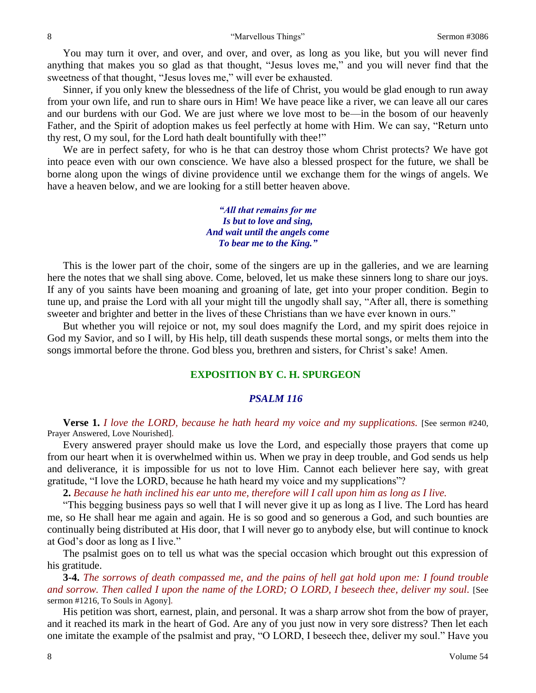You may turn it over, and over, and over, and over, as long as you like, but you will never find anything that makes you so glad as that thought, "Jesus loves me," and you will never find that the sweetness of that thought, "Jesus loves me," will ever be exhausted.

Sinner, if you only knew the blessedness of the life of Christ, you would be glad enough to run away from your own life, and run to share ours in Him! We have peace like a river, we can leave all our cares and our burdens with our God. We are just where we love most to be—in the bosom of our heavenly Father, and the Spirit of adoption makes us feel perfectly at home with Him. We can say, "Return unto thy rest, O my soul, for the Lord hath dealt bountifully with thee!"

We are in perfect safety, for who is he that can destroy those whom Christ protects? We have got into peace even with our own conscience. We have also a blessed prospect for the future, we shall be borne along upon the wings of divine providence until we exchange them for the wings of angels. We have a heaven below, and we are looking for a still better heaven above.

> *"All that remains for me Is but to love and sing, And wait until the angels come To bear me to the King."*

This is the lower part of the choir, some of the singers are up in the galleries, and we are learning here the notes that we shall sing above. Come, beloved, let us make these sinners long to share our joys. If any of you saints have been moaning and groaning of late, get into your proper condition. Begin to tune up, and praise the Lord with all your might till the ungodly shall say, "After all, there is something sweeter and brighter and better in the lives of these Christians than we have ever known in ours."

But whether you will rejoice or not, my soul does magnify the Lord, and my spirit does rejoice in God my Savior, and so I will, by His help, till death suspends these mortal songs, or melts them into the songs immortal before the throne. God bless you, brethren and sisters, for Christ's sake! Amen.

## **EXPOSITION BY C. H. SPURGEON**

## *PSALM 116*

**Verse 1.** *I love the LORD, because he hath heard my voice and my supplications.* [See sermon #240, Prayer Answered, Love Nourished].

Every answered prayer should make us love the Lord, and especially those prayers that come up from our heart when it is overwhelmed within us. When we pray in deep trouble, and God sends us help and deliverance, it is impossible for us not to love Him. Cannot each believer here say, with great gratitude, "I love the LORD, because he hath heard my voice and my supplications"?

**2.** *Because he hath inclined his ear unto me, therefore will I call upon him as long as I live.*

"This begging business pays so well that I will never give it up as long as I live. The Lord has heard me, so He shall hear me again and again. He is so good and so generous a God, and such bounties are continually being distributed at His door, that I will never go to anybody else, but will continue to knock at God's door as long as I live."

The psalmist goes on to tell us what was the special occasion which brought out this expression of his gratitude.

**3-4.** *The sorrows of death compassed me, and the pains of hell gat hold upon me: I found trouble and sorrow. Then called I upon the name of the LORD; O LORD, I beseech thee, deliver my soul.* [See sermon #1216, To Souls in Agony].

His petition was short, earnest, plain, and personal. It was a sharp arrow shot from the bow of prayer, and it reached its mark in the heart of God. Are any of you just now in very sore distress? Then let each one imitate the example of the psalmist and pray, "O LORD, I beseech thee, deliver my soul." Have you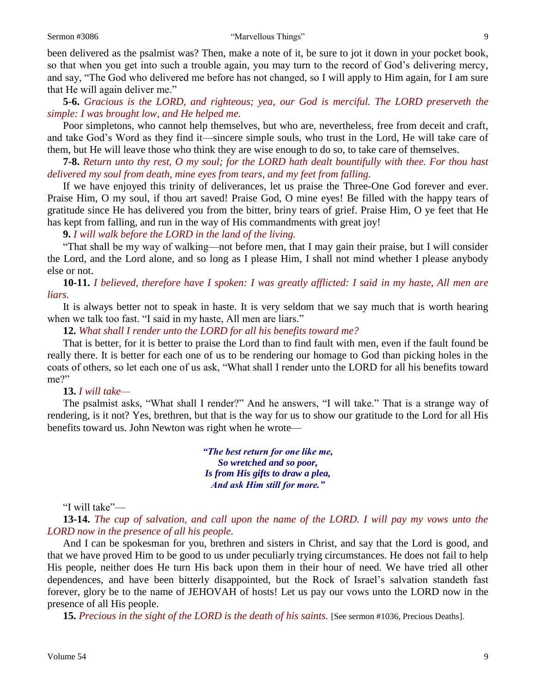been delivered as the psalmist was? Then, make a note of it, be sure to jot it down in your pocket book, so that when you get into such a trouble again, you may turn to the record of God's delivering mercy, and say, "The God who delivered me before has not changed, so I will apply to Him again, for I am sure that He will again deliver me."

**5-6.** *Gracious is the LORD, and righteous; yea, our God is merciful. The LORD preserveth the simple: I was brought low, and He helped me.*

Poor simpletons, who cannot help themselves, but who are, nevertheless, free from deceit and craft, and take God's Word as they find it—sincere simple souls, who trust in the Lord, He will take care of them, but He will leave those who think they are wise enough to do so, to take care of themselves.

**7-8.** *Return unto thy rest, O my soul; for the LORD hath dealt bountifully with thee. For thou hast delivered my soul from death, mine eyes from tears, and my feet from falling.*

If we have enjoyed this trinity of deliverances, let us praise the Three-One God forever and ever. Praise Him, O my soul, if thou art saved! Praise God, O mine eyes! Be filled with the happy tears of gratitude since He has delivered you from the bitter, briny tears of grief. Praise Him, O ye feet that He has kept from falling, and run in the way of His commandments with great joy!

**9.** *I will walk before the LORD in the land of the living.*

"That shall be my way of walking—not before men, that I may gain their praise, but I will consider the Lord, and the Lord alone, and so long as I please Him, I shall not mind whether I please anybody else or not.

**10-11.** *I believed, therefore have I spoken: I was greatly afflicted: I said in my haste, All men are liars.*

It is always better not to speak in haste. It is very seldom that we say much that is worth hearing when we talk too fast. "I said in my haste, All men are liars."

**12.** *What shall I render unto the LORD for all his benefits toward me?*

That is better, for it is better to praise the Lord than to find fault with men, even if the fault found be really there. It is better for each one of us to be rendering our homage to God than picking holes in the coats of others, so let each one of us ask, "What shall I render unto the LORD for all his benefits toward me?"

## **13.** *I will take—*

The psalmist asks, "What shall I render?" And he answers, "I will take." That is a strange way of rendering, is it not? Yes, brethren, but that is the way for us to show our gratitude to the Lord for all His benefits toward us. John Newton was right when he wrote—

> *"The best return for one like me, So wretched and so poor, Is from His gifts to draw a plea, And ask Him still for more."*

"I will take"—

**13-14.** *The cup of salvation, and call upon the name of the LORD. I will pay my vows unto the LORD now in the presence of all his people.*

And I can be spokesman for you, brethren and sisters in Christ, and say that the Lord is good, and that we have proved Him to be good to us under peculiarly trying circumstances. He does not fail to help His people, neither does He turn His back upon them in their hour of need. We have tried all other dependences, and have been bitterly disappointed, but the Rock of Israel's salvation standeth fast forever, glory be to the name of JEHOVAH of hosts! Let us pay our vows unto the LORD now in the presence of all His people.

15. Precious in the sight of the LORD is the death of his saints. [See sermon #1036, Precious Deaths].